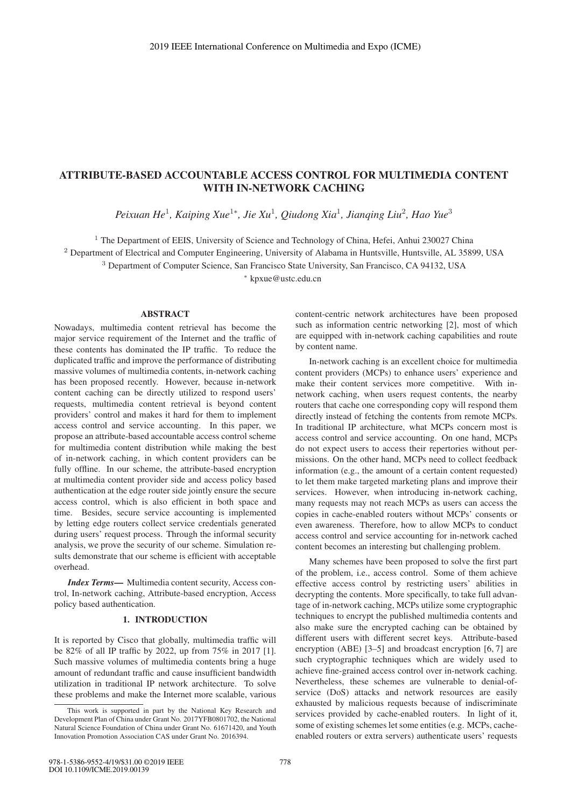# ATTRIBUTE-BASED ACCOUNTABLE ACCESS CONTROL FOR MULTIMEDIA CONTENT WITH IN-NETWORK CACHING

*Peixuan He*<sup>1</sup>*, Kaiping Xue*<sup>1</sup>∗*, Jie Xu*<sup>1</sup>*, Qiudong Xia*<sup>1</sup>*, Jianqing Liu*<sup>2</sup>*, Hao Yue*<sup>3</sup>

<sup>1</sup> The Department of EEIS, University of Science and Technology of China, Hefei, Anhui 230027 China

<sup>2</sup> Department of Electrical and Computer Engineering, University of Alabama in Huntsville, Huntsville, AL 35899, USA

<sup>3</sup> Department of Computer Science, San Francisco State University, San Francisco, CA 94132, USA

<sup>∗</sup> kpxue@ustc.edu.cn

# ABSTRACT

Nowadays, multimedia content retrieval has become the major service requirement of the Internet and the traffic of these contents has dominated the IP traffic. To reduce the duplicated traffic and improve the performance of distributing massive volumes of multimedia contents, in-network caching has been proposed recently. However, because in-network content caching can be directly utilized to respond users' requests, multimedia content retrieval is beyond content providers' control and makes it hard for them to implement access control and service accounting. In this paper, we propose an attribute-based accountable access control scheme for multimedia content distribution while making the best of in-network caching, in which content providers can be fully offline. In our scheme, the attribute-based encryption at multimedia content provider side and access policy based authentication at the edge router side jointly ensure the secure access control, which is also efficient in both space and time. Besides, secure service accounting is implemented by letting edge routers collect service credentials generated during users' request process. Through the informal security analysis, we prove the security of our scheme. Simulation results demonstrate that our scheme is efficient with acceptable overhead.

*Index Terms*— Multimedia content security, Access control, In-network caching, Attribute-based encryption, Access policy based authentication.

# 1. INTRODUCTION

It is reported by Cisco that globally, multimedia traffic will be 82% of all IP traffic by 2022, up from 75% in 2017 [1]. Such massive volumes of multimedia contents bring a huge amount of redundant traffic and cause insufficient bandwidth utilization in traditional IP network architecture. To solve these problems and make the Internet more scalable, various

content-centric network architectures have been proposed such as information centric networking [2], most of which are equipped with in-network caching capabilities and route by content name.

In-network caching is an excellent choice for multimedia content providers (MCPs) to enhance users' experience and make their content services more competitive. With innetwork caching, when users request contents, the nearby routers that cache one corresponding copy will respond them directly instead of fetching the contents from remote MCPs. In traditional IP architecture, what MCPs concern most is access control and service accounting. On one hand, MCPs do not expect users to access their repertories without permissions. On the other hand, MCPs need to collect feedback information (e.g., the amount of a certain content requested) to let them make targeted marketing plans and improve their services. However, when introducing in-network caching, many requests may not reach MCPs as users can access the copies in cache-enabled routers without MCPs' consents or even awareness. Therefore, how to allow MCPs to conduct access control and service accounting for in-network cached content becomes an interesting but challenging problem.

Many schemes have been proposed to solve the first part of the problem, i.e., access control. Some of them achieve effective access control by restricting users' abilities in decrypting the contents. More specifically, to take full advantage of in-network caching, MCPs utilize some cryptographic techniques to encrypt the published multimedia contents and also make sure the encrypted caching can be obtained by different users with different secret keys. Attribute-based encryption (ABE) [3–5] and broadcast encryption [6, 7] are such cryptographic techniques which are widely used to achieve fine-grained access control over in-network caching. Nevertheless, these schemes are vulnerable to denial-ofservice (DoS) attacks and network resources are easily exhausted by malicious requests because of indiscriminate services provided by cache-enabled routers. In light of it, some of existing schemes let some entities (e.g. MCPs, cacheenabled routers or extra servers) authenticate users' requests

This work is supported in part by the National Key Research and Development Plan of China under Grant No. 2017YFB0801702, the National Natural Science Foundation of China under Grant No. 61671420, and Youth Innovation Promotion Association CAS under Grant No. 2016394.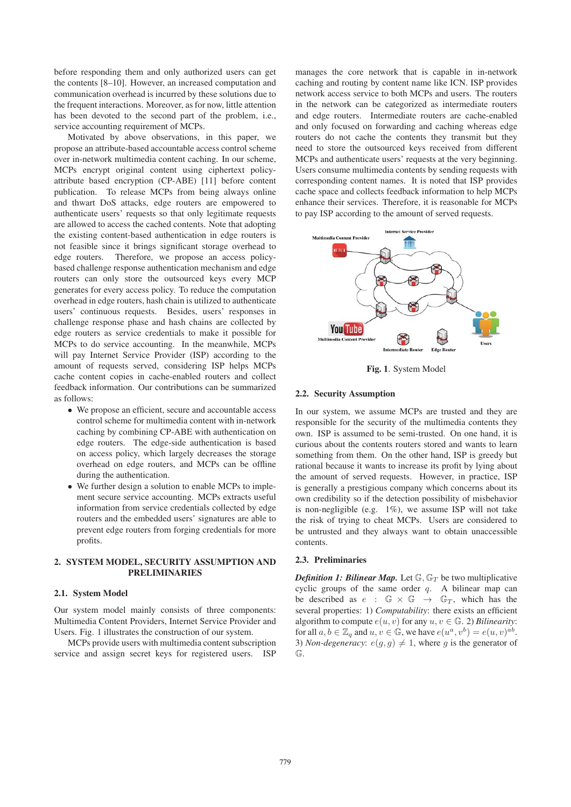before responding them and only authorized users can get the contents [8–10]. However, an increased computation and communication overhead is incurred by these solutions due to the frequent interactions. Moreover, as for now, little attention has been devoted to the second part of the problem, i.e., service accounting requirement of MCPs.

Motivated by above observations, in this paper, we propose an attribute-based accountable access control scheme over in-network multimedia content caching. In our scheme, MCPs encrypt original content using ciphertext policyattribute based encryption (CP-ABE) [11] before content publication. To release MCPs from being always online and thwart DoS attacks, edge routers are empowered to authenticate users' requests so that only legitimate requests are allowed to access the cached contents. Note that adopting the existing content-based authentication in edge routers is not feasible since it brings significant storage overhead to edge routers. Therefore, we propose an access policybased challenge response authentication mechanism and edge routers can only store the outsourced keys every MCP generates for every access policy. To reduce the computation overhead in edge routers, hash chain is utilized to authenticate users' continuous requests. Besides, users' responses in challenge response phase and hash chains are collected by edge routers as service credentials to make it possible for MCPs to do service accounting. In the meanwhile, MCPs will pay Internet Service Provider (ISP) according to the amount of requests served, considering ISP helps MCPs cache content copies in cache-enabled routers and collect feedback information. Our contributions can be summarized as follows:

- We propose an efficient, secure and accountable access control scheme for multimedia content with in-network caching by combining CP-ABE with authentication on edge routers. The edge-side authentication is based on access policy, which largely decreases the storage overhead on edge routers, and MCPs can be offline during the authentication.
- We further design a solution to enable MCPs to implement secure service accounting. MCPs extracts useful information from service credentials collected by edge routers and the embedded users' signatures are able to prevent edge routers from forging credentials for more profits.

# 2. SYSTEM MODEL, SECURITY ASSUMPTION AND PRELIMINARIES

# 2.1. System Model

Our system model mainly consists of three components: Multimedia Content Providers, Internet Service Provider and Users. Fig. 1 illustrates the construction of our system.

MCPs provide users with multimedia content subscription service and assign secret keys for registered users. ISP manages the core network that is capable in in-network caching and routing by content name like ICN. ISP provides network access service to both MCPs and users. The routers in the network can be categorized as intermediate routers and edge routers. Intermediate routers are cache-enabled and only focused on forwarding and caching whereas edge routers do not cache the contents they transmit but they need to store the outsourced keys received from different MCPs and authenticate users' requests at the very beginning. Users consume multimedia contents by sending requests with corresponding content names. It is noted that ISP provides cache space and collects feedback information to help MCPs enhance their services. Therefore, it is reasonable for MCPs to pay ISP according to the amount of served requests.



Fig. 1. System Model

## 2.2. Security Assumption

In our system, we assume MCPs are trusted and they are responsible for the security of the multimedia contents they own. ISP is assumed to be semi-trusted. On one hand, it is curious about the contents routers stored and wants to learn something from them. On the other hand, ISP is greedy but rational because it wants to increase its profit by lying about the amount of served requests. However, in practice, ISP is generally a prestigious company which concerns about its own credibility so if the detection possibility of misbehavior is non-negligible (e.g. 1%), we assume ISP will not take the risk of trying to cheat MCPs. Users are considered to be untrusted and they always want to obtain unaccessible contents.

# 2.3. Preliminaries

*Definition 1: Bilinear Map.* Let  $\mathbb{G}$ ,  $\mathbb{G}_T$  be two multiplicative cyclic groups of the same order  $q$ . A bilinear map can be described as  $e : \mathbb{G} \times \mathbb{G} \rightarrow \mathbb{G}_T$ , which has the several properties: 1) *Computability*: there exists an efficient algorithm to compute  $e(u, v)$  for any  $u, v \in \mathbb{G}$ . 2) *Bilinearity*: for all  $a, b \in \mathbb{Z}_q$  and  $u, v \in \mathbb{G}$ , we have  $e(u^a, v^b) = e(u, v)^{ab}$ . 3) *Non-degeneracy*:  $e(g, g) \neq 1$ , where g is the generator of  $\mathbb{G}$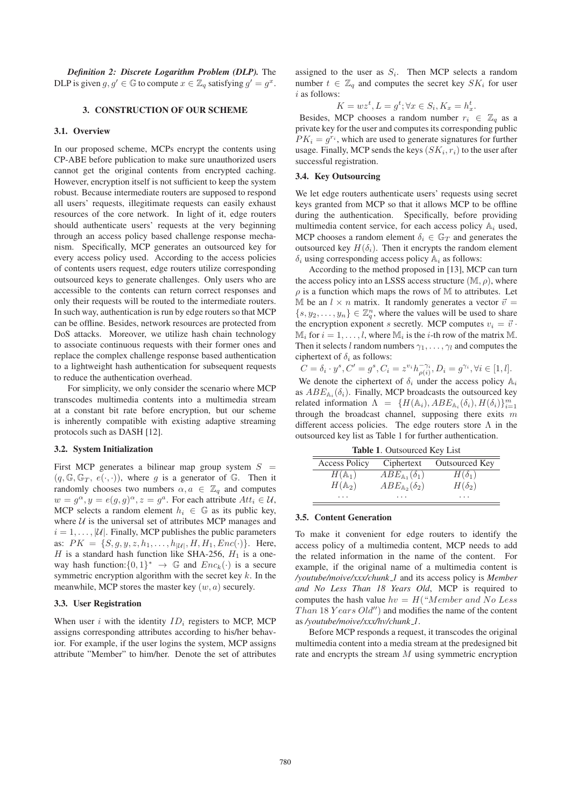*Definition 2: Discrete Logarithm Problem (DLP).* The DLP is given  $g, g' \in \mathbb{G}$  to compute  $x \in \mathbb{Z}_q$  satisfying  $g' = g^x$ .

# 3. CONSTRUCTION OF OUR SCHEME

### 3.1. Overview

In our proposed scheme, MCPs encrypt the contents using CP-ABE before publication to make sure unauthorized users cannot get the original contents from encrypted caching. However, encryption itself is not sufficient to keep the system robust. Because intermediate routers are supposed to respond all users' requests, illegitimate requests can easily exhaust resources of the core network. In light of it, edge routers should authenticate users' requests at the very beginning through an access policy based challenge response mechanism. Specifically, MCP generates an outsourced key for every access policy used. According to the access policies of contents users request, edge routers utilize corresponding outsourced keys to generate challenges. Only users who are accessible to the contents can return correct responses and only their requests will be routed to the intermediate routers. In such way, authentication is run by edge routers so that MCP can be offline. Besides, network resources are protected from DoS attacks. Moreover, we utilize hash chain technology to associate continuous requests with their former ones and replace the complex challenge response based authentication to a lightweight hash authentication for subsequent requests to reduce the authentication overhead.

For simplicity, we only consider the scenario where MCP transcodes multimedia contents into a multimedia stream at a constant bit rate before encryption, but our scheme is inherently compatible with existing adaptive streaming protocols such as DASH [12].

### 3.2. System Initialization

First MCP generates a bilinear map group system  $S =$  $(q, \mathbb{G}, \mathbb{G}_T, e(\cdot, \cdot))$ , where g is a generator of  $\mathbb{G}$ . Then it randomly chooses two numbers  $\alpha, a \in \mathbb{Z}_q$  and computes  $w = g^{\alpha}, y = e(g, g)^{\alpha}, z = g^{\alpha}$ . For each attribute  $Att_i \in \mathcal{U}$ , MCP selects a random element  $h_i \in \mathbb{G}$  as its public key, where  $U$  is the universal set of attributes MCP manages and  $i = 1, \ldots, |\mathcal{U}|$ . Finally, MCP publishes the public parameters as:  $PK = \{S, g, y, z, h_1, \ldots, h_{|\mathcal{U}|}, H, H_1, Enc(\cdot)\}.$  Here, H is a standard hash function like SHA-256,  $H_1$  is a oneway hash function:  $\{0, 1\}^* \rightarrow \mathbb{G}$  and  $Enc_k(\cdot)$  is a secure symmetric encryption algorithm with the secret key  $k$ . In the meanwhile, MCP stores the master key  $(w, a)$  securely.

### 3.3. User Registration

When user i with the identity  $ID_i$  registers to MCP, MCP assigns corresponding attributes according to his/her behavior. For example, if the user logins the system, MCP assigns attribute "Member" to him/her. Denote the set of attributes assigned to the user as  $S_i$ . Then MCP selects a random number  $t \in \mathbb{Z}_q$  and computes the secret key  $SK_i$  for user i as follows:

$$
K = wz^t, L = g^t; \forall x \in S_i, K_x = h_x^t.
$$

Besides, MCP chooses a random number  $r_i \in \mathbb{Z}_q$  as a private key for the user and computes its corresponding public  $PK_i = g^{r_i}$ , which are used to generate signatures for further usage. Finally, MCP sends the keys  $(SK_i, r_i)$  to the user after successful registration.

#### 3.4. Key Outsourcing

We let edge routers authenticate users' requests using secret keys granted from MCP so that it allows MCP to be offline during the authentication. Specifically, before providing multimedia content service, for each access policy  $A_i$  used, MCP chooses a random element  $\delta_i \in \mathbb{G}_T$  and generates the outsourced key  $H(\delta_i)$ . Then it encrypts the random element  $\delta_i$  using corresponding access policy  $\mathbb{A}_i$  as follows:

According to the method proposed in [13], MCP can turn the access policy into an LSSS access structure  $(M, \rho)$ , where  $\rho$  is a function which maps the rows of M to attributes. Let M be an  $l \times n$  matrix. It randomly generates a vector  $\vec{v} =$  ${s, y_2,..., y_n} \in \mathbb{Z}_q^n$ , where the values will be used to share the encryption exponent s secretly. MCP computes  $v_i = \vec{v}$ .  $M_i$  for  $i = 1, \ldots, l$ , where  $M_i$  is the *i*-th row of the matrix M. Then it selects l random numbers  $\gamma_1, \ldots, \gamma_l$  and computes the ciphertext of  $\delta_i$  as follows:

$$
C = \delta_i \cdot y^s, C' = g^s, C_i = z^{v_i} h_{\rho(i)}^{-\gamma_i}, D_i = g^{\gamma_i}, \forall i \in [1, l].
$$

We denote the ciphertext of  $\delta_i$  under the access policy  $\mathbb{A}_i$ as  $ABE_{\mathbb{A}_i}(\delta_i)$ . Finally, MCP broadcasts the outsourced key related information  $\Lambda = \{H(\mathbb{A}_i), ABE_{\mathbb{A}_i}(\delta_i), H(\delta_i)\}_{i=1}^m$ through the broadcast channel, supposing there exits  $m$ different access policies. The edge routers store  $\Lambda$  in the outsourced key list as Table 1 for further authentication.

| <b>Table 1. Outsourced Key List</b> |  |
|-------------------------------------|--|
|                                     |  |

| <b>Access Policy</b> | Ciphertext                     | <b>Outsourced Key</b> |
|----------------------|--------------------------------|-----------------------|
| $H(\mathbb{A}_1)$    | $ABE_{\mathbb{A}_1}(\delta_1)$ | $H(\delta_1)$         |
| $H(\mathbb{A}_2)$    | $ABE_{\mathbb{A}_2}(\delta_2)$ | $H(\delta_2)$         |
| $\cdots$             | .                              | $\cdots$              |

### 3.5. Content Generation

To make it convenient for edge routers to identify the access policy of a multimedia content, MCP needs to add the related information in the name of the content. For example, if the original name of a multimedia content is */youtube/moive/xxx/chunk 1* and its access policy is *Member and No Less Than 18 Years Old*, MCP is required to computes the hash value  $hv = H("Member and No Less$ Than 18 Years  $Old'$  and modifies the name of the content as */youtube/moive/xxx/hv/chunk 1*.

Before MCP responds a request, it transcodes the original multimedia content into a media stream at the predesigned bit rate and encrypts the stream M using symmetric encryption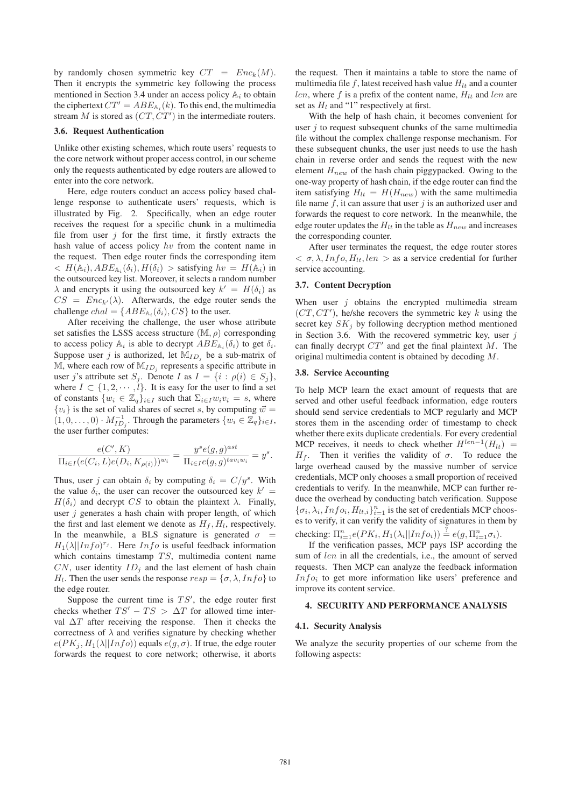by randomly chosen symmetric key  $CT = Enc_k(M)$ . Then it encrypts the symmetric key following the process mentioned in Section 3.4 under an access policy  $A_i$  to obtain the ciphertext  $CT' = ABE_{\mathbb{A}_i}(k)$ . To this end, the multimedia stream M is stored as  $(CT, CT')$  in the intermediate routers.

### 3.6. Request Authentication

Unlike other existing schemes, which route users' requests to the core network without proper access control, in our scheme only the requests authenticated by edge routers are allowed to enter into the core network.

Here, edge routers conduct an access policy based challenge response to authenticate users' requests, which is illustrated by Fig. 2. Specifically, when an edge router receives the request for a specific chunk in a multimedia file from user  $j$  for the first time, it firstly extracts the hash value of access policy hv from the content name in the request. Then edge router finds the corresponding item  $\langle H(\mathbb{A}_i), ABE_{\mathbb{A}_i}(\delta_i), H(\delta_i) \rangle$  satisfying  $hv = H(\mathbb{A}_i)$  in the outsourced key list. Moreover, it selects a random number  $\lambda$  and encrypts it using the outsourced key  $k' = H(\delta_i)$  as  $CS = Enc_{k'}(\lambda)$ . Afterwards, the edge router sends the challenge  $chal = \{ABE_{A_i}(\delta_i), CS\}$  to the user.

After receiving the challenge, the user whose attribute set satisfies the LSSS access structure  $(M, \rho)$  corresponding to access policy  $\mathbb{A}_i$  is able to decrypt  $ABE_{\mathbb{A}_i}(\delta_i)$  to get  $\delta_i$ . Suppose user j is authorized, let  $M_{ID_j}$  be a sub-matrix of M, where each row of  $\mathbb{M}_{ID_j}$  represents a specific attribute in user j's attribute set  $S_j$ . Denote I as  $I = \{i : \rho(i) \in S_j\}$ , where  $I \subset \{1, 2, \dots, l\}$ . It is easy for the user to find a set of constants  $\{w_i \in \mathbb{Z}_q\}_{i \in I}$  such that  $\Sigma_{i \in I} w_i v_i = s$ , where  ${v_i}$  is the set of valid shares of secret s, by computing  $\vec{w}$  =  $(1, 0, \ldots, 0) \cdot M_{ID_j}^{-1}$ . Through the parameters  $\{w_i \in \mathbb{Z}_q\}_{i \in I}$ , the user further computes:

$$
\frac{e(C', K)}{\Pi_{i \in I}(e(C_i, L)e(D_i, K_{\rho(i)}))^{w_i}} = \frac{y^s e(g, g)^{ast}}{\Pi_{i \in I}e(g, g)^{tau_i w_i}} = y^s.
$$

Thus, user j can obtain  $\delta_i$  by computing  $\delta_i = C/y^s$ . With the value  $\delta_i$ , the user can recover the outsourced key  $k' =$  $H(\delta_i)$  and decrypt CS to obtain the plaintext  $\lambda$ . Finally, user  $j$  generates a hash chain with proper length, of which the first and last element we denote as  $H_f$ ,  $H_l$ , respectively. In the meanwhile, a BLS signature is generated  $\sigma$  =  $H_1(\lambda || Info)^{r_j}$ . Here  $Info$  is useful feedback information which contains timestamp  $TS$ , multimedia content name CN, user identity  $ID_i$  and the last element of hash chain  $H_l$ . Then the user sends the response  $resp = \{\sigma, \lambda, Info\}$  to the edge router.

Suppose the current time is  $TS'$ , the edge router first checks whether  $TS' - TS > \Delta T$  for allowed time interval  $\Delta T$  after receiving the response. Then it checks the correctness of  $\lambda$  and verifies signature by checking whether  $e(PK_j, H_1(\lambda || Info))$  equals  $e(g, \sigma)$ . If true, the edge router forwards the request to core network; otherwise, it aborts the request. Then it maintains a table to store the name of multimedia file f, latest received hash value  $H_{lt}$  and a counter len, where f is a prefix of the content name,  $H_{lt}$  and len are set as  $H_l$  and "1" respectively at first.

With the help of hash chain, it becomes convenient for user  $j$  to request subsequent chunks of the same multimedia file without the complex challenge response mechanism. For these subsequent chunks, the user just needs to use the hash chain in reverse order and sends the request with the new element  $H_{new}$  of the hash chain piggypacked. Owing to the one-way property of hash chain, if the edge router can find the item satisfying  $H_{lt} = H(H_{new})$  with the same multimedia file name  $f$ , it can assure that user  $j$  is an authorized user and forwards the request to core network. In the meanwhile, the edge router updates the  $H_{lt}$  in the table as  $H_{new}$  and increases the corresponding counter.

After user terminates the request, the edge router stores  $< \sigma, \lambda, Info, H_{lt}, len >$  as a service credential for further service accounting.

### 3.7. Content Decryption

When user  $j$  obtains the encrypted multimedia stream  $(CT, CT')$ , he/she recovers the symmetric key k using the secret key  $SK_i$  by following decryption method mentioned in Section 3.6. With the recovered symmetric key, user  $j$ can finally decrypt  $CT'$  and get the final plaintext M. The original multimedia content is obtained by decoding M.

#### 3.8. Service Accounting

To help MCP learn the exact amount of requests that are served and other useful feedback information, edge routers should send service credentials to MCP regularly and MCP stores them in the ascending order of timestamp to check whether there exits duplicate credentials. For every credential MCP receives, it needs to check whether  $H^{len-1}(H_{lt})$  =  $H_f$ . Then it verifies the validity of  $\sigma$ . To reduce the large overhead caused by the massive number of service credentials, MCP only chooses a small proportion of received credentials to verify. In the meanwhile, MCP can further reduce the overhead by conducting batch verification. Suppose  $\{\sigma_i, \lambda_i, Inf_{i}, H_{lt,i}\}_{i=1}^n$  is the set of credentials MCP chooses to verify, it can verify the validity of signatures in them by checking:  $\Pi_{i=1}^n e(PK_i, H_1(\lambda_i || Info_i)) \stackrel{?}{=} e(g, \Pi_{i=1}^n \sigma_i)$ .

If the verification passes, MCP pays ISP according the sum of len in all the credentials, i.e., the amount of served requests. Then MCP can analyze the feedback information  $Info<sub>i</sub>$  to get more information like users' preference and improve its content service.

# 4. SECURITY AND PERFORMANCE ANALYSIS

#### 4.1. Security Analysis

We analyze the security properties of our scheme from the following aspects: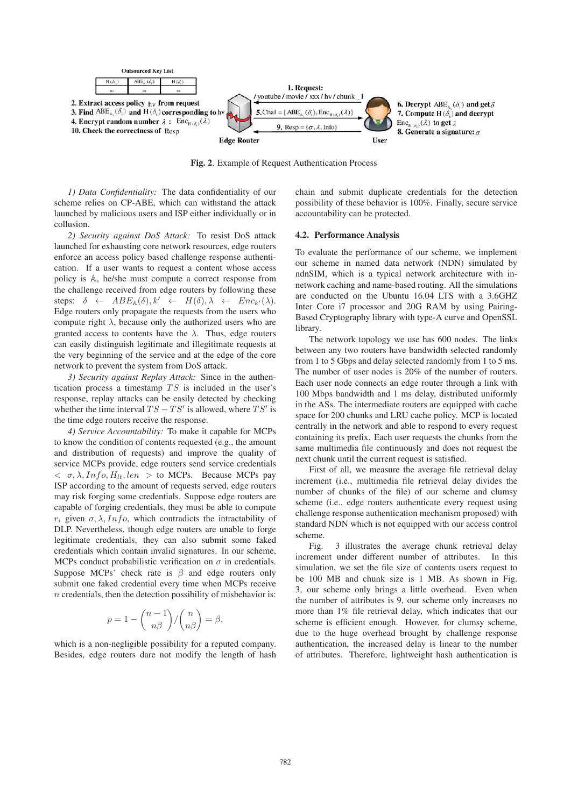

Fig. 2. Example of Request Authentication Process

*1) Data Confidentiality:* The data confidentiality of our scheme relies on CP-ABE, which can withstand the attack launched by malicious users and ISP either individually or in collusion.

*2) Security against DoS Attack:* To resist DoS attack launched for exhausting core network resources, edge routers enforce an access policy based challenge response authentication. If a user wants to request a content whose access policy is A, he/she must compute a correct response from the challenge received from edge routers by following these steps:  $\delta \leftarrow ABE_{\mathbb{A}}(\delta), k' \leftarrow H(\delta), \lambda \leftarrow Enc_{k'}(\lambda).$ Edge routers only propagate the requests from the users who compute right  $\lambda$ , because only the authorized users who are granted access to contents have the  $\lambda$ . Thus, edge routers can easily distinguish legitimate and illegitimate requests at the very beginning of the service and at the edge of the core network to prevent the system from DoS attack.

*3) Security against Replay Attack:* Since in the authentication process a timestamp  $TS$  is included in the user's response, replay attacks can be easily detected by checking whether the time interval  $TS - TS'$  is allowed, where  $TS'$  is the time edge routers receive the response.

*4) Service Accountability:* To make it capable for MCPs to know the condition of contents requested (e.g., the amount and distribution of requests) and improve the quality of service MCPs provide, edge routers send service credentials  $< \sigma, \lambda, Info, H<sub>lt</sub>, len >$  to MCPs. Because MCPs pay ISP according to the amount of requests served, edge routers may risk forging some credentials. Suppose edge routers are capable of forging credentials, they must be able to compute  $r_i$  given  $\sigma$ ,  $\lambda$ , In fo, which contradicts the intractability of DLP. Nevertheless, though edge routers are unable to forge legitimate credentials, they can also submit some faked credentials which contain invalid signatures. In our scheme, MCPs conduct probabilistic verification on  $\sigma$  in credentials. Suppose MCPs' check rate is  $\beta$  and edge routers only submit one faked credential every time when MCPs receive  $n$  credentials, then the detection possibility of misbehavior is:

$$
p = 1 - \binom{n-1}{n\beta} / \binom{n}{n\beta} = \beta,
$$

which is a non-negligible possibility for a reputed company. Besides, edge routers dare not modify the length of hash chain and submit duplicate credentials for the detection possibility of these behavior is 100%. Finally, secure service accountability can be protected.

### 4.2. Performance Analysis

To evaluate the performance of our scheme, we implement our scheme in named data network (NDN) simulated by ndnSIM, which is a typical network architecture with innetwork caching and name-based routing. All the simulations are conducted on the Ubuntu 16.04 LTS with a 3.6GHZ Inter Core i7 processor and 20G RAM by using Pairing-Based Cryptography library with type-A curve and OpenSSL library.

The network topology we use has 600 nodes. The links between any two routers have bandwidth selected randomly from 1 to 5 Gbps and delay selected randomly from 1 to 5 ms. The number of user nodes is 20% of the number of routers. Each user node connects an edge router through a link with 100 Mbps bandwidth and 1 ms delay, distributed uniformly in the ASs. The intermediate routers are equipped with cache space for 200 chunks and LRU cache policy. MCP is located centrally in the network and able to respond to every request containing its prefix. Each user requests the chunks from the same multimedia file continuously and does not request the next chunk until the current request is satisfied.

First of all, we measure the average file retrieval delay increment (i.e., multimedia file retrieval delay divides the number of chunks of the file) of our scheme and clumsy scheme (i.e., edge routers authenticate every request using challenge response authentication mechanism proposed) with standard NDN which is not equipped with our access control scheme.

Fig. 3 illustrates the average chunk retrieval delay increment under different number of attributes. In this simulation, we set the file size of contents users request to be 100 MB and chunk size is 1 MB. As shown in Fig. 3, our scheme only brings a little overhead. Even when the number of attributes is 9, our scheme only increases no more than 1% file retrieval delay, which indicates that our scheme is efficient enough. However, for clumsy scheme, due to the huge overhead brought by challenge response authentication, the increased delay is linear to the number of attributes. Therefore, lightweight hash authentication is